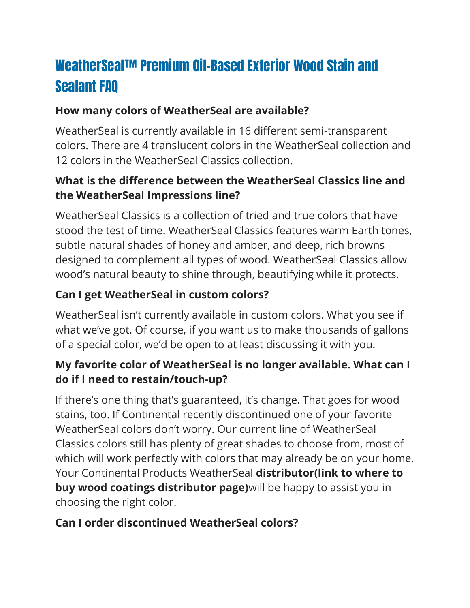# WeatherSeal™ Premium Oil-Based Exterior Wood Stain and Sealant FAQ

#### **How many colors of WeatherSeal are available?**

WeatherSeal is currently available in 16 different semi-transparent colors. There are 4 translucent colors in the WeatherSeal collection and 12 colors in the WeatherSeal Classics collection.

#### **What is the difference between the WeatherSeal Classics line and the WeatherSeal Impressions line?**

WeatherSeal Classics is a collection of tried and true colors that have stood the test of time. WeatherSeal Classics features warm Earth tones, subtle natural shades of honey and amber, and deep, rich browns designed to complement all types of wood. WeatherSeal Classics allow wood's natural beauty to shine through, beautifying while it protects.

## **Can I get WeatherSeal in custom colors?**

WeatherSeal isn't currently available in custom colors. What you see if what we've got. Of course, if you want us to make thousands of gallons of a special color, we'd be open to at least discussing it with you.

#### **My favorite color of WeatherSeal is no longer available. What can I do if I need to restain/touch-up?**

If there's one thing that's guaranteed, it's change. That goes for wood stains, too. If Continental recently discontinued one of your favorite WeatherSeal colors don't worry. Our current line of WeatherSeal Classics colors still has plenty of great shades to choose from, most of which will work perfectly with colors that may already be on your home. Your Continental Products WeatherSeal **distributor(link to where to buy wood coatings distributor page)**will be happy to assist you in choosing the right color.

#### **Can I order discontinued WeatherSeal colors?**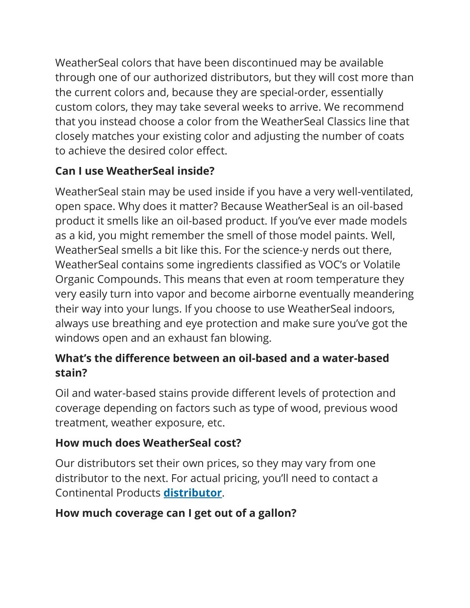WeatherSeal colors that have been discontinued may be available through one of our authorized distributors, but they will cost more than the current colors and, because they are special-order, essentially custom colors, they may take several weeks to arrive. We recommend that you instead choose a color from the WeatherSeal Classics line that closely matches your existing color and adjusting the number of coats to achieve the desired color effect.

# **Can I use WeatherSeal inside?**

WeatherSeal stain may be used inside if you have a very well-ventilated, open space. Why does it matter? Because WeatherSeal is an oil-based product it smells like an oil-based product. If you've ever made models as a kid, you might remember the smell of those model paints. Well, WeatherSeal smells a bit like this. For the science-y nerds out there, WeatherSeal contains some ingredients classified as VOC's or Volatile Organic Compounds. This means that even at room temperature they very easily turn into vapor and become airborne eventually meandering their way into your lungs. If you choose to use WeatherSeal indoors, always use breathing and eye protection and make sure you've got the windows open and an exhaust fan blowing.

## **What's the difference between an oil-based and a water-based stain?**

Oil and water-based stains provide different levels of protection and coverage depending on factors such as type of wood, previous wood treatment, weather exposure, etc.

# **How much does WeatherSeal cost?**

Our distributors set their own prices, so they may vary from one distributor to the next. For actual pricing, you'll need to contact a Continental Products **[distributor](https://www.continentalpaints.com/wood-coatings-sealants-distributors/)**.

#### **How much coverage can I get out of a gallon?**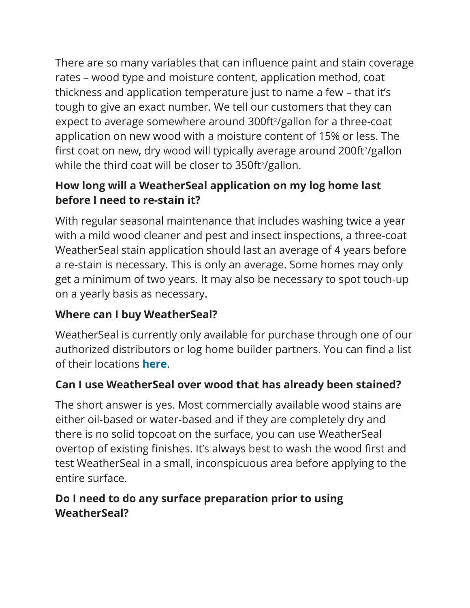There are so many variables that can influence paint and stain coverage rates – wood type and moisture content, application method, coat thickness and application temperature just to name a few – that it's tough to give an exact number. We tell our customers that they can expect to average somewhere around 300ft<sup>2</sup>/gallon for a three-coat application on new wood with a moisture content of 15% or less. The first coat on new, dry wood will typically average around 200ft<sup>2</sup>/gallon while the third coat will be closer to 350ft<sup>2</sup>/gallon.

# **How long will a WeatherSeal application on my log home last before I need to re-stain it?**

With regular seasonal maintenance that includes washing twice a year with a mild wood cleaner and pest and insect inspections, a three-coat WeatherSeal stain application should last an average of 4 years before a re-stain is necessary. This is only an average. Some homes may only get a minimum of two years. It may also be necessary to spot touch-up on a yearly basis as necessary.

#### **Where can I buy WeatherSeal?**

WeatherSeal is currently only available for purchase through one of our authorized distributors or log home builder partners. You can find a list of their locations **[here](https://www.continentalpaints.com/wood-coatings-sealants-distributors/)**.

# **Can I use WeatherSeal over wood that has already been stained?**

The short answer is yes. Most commercially available wood stains are either oil-based or water-based and if they are completely dry and there is no solid topcoat on the surface, you can use WeatherSeal overtop of existing finishes. It's always best to wash the wood first and test WeatherSeal in a small, inconspicuous area before applying to the entire surface.

#### **Do I need to do any surface preparation prior to using WeatherSeal?**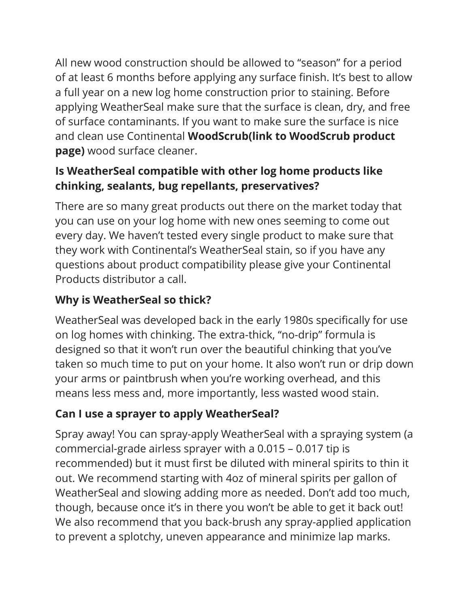All new wood construction should be allowed to "season" for a period of at least 6 months before applying any surface finish. It's best to allow a full year on a new log home construction prior to staining. Before applying WeatherSeal make sure that the surface is clean, dry, and free of surface contaminants. If you want to make sure the surface is nice and clean use Continental **WoodScrub(link to WoodScrub product page)** wood surface cleaner.

# **Is WeatherSeal compatible with other log home products like chinking, sealants, bug repellants, preservatives?**

There are so many great products out there on the market today that you can use on your log home with new ones seeming to come out every day. We haven't tested every single product to make sure that they work with Continental's WeatherSeal stain, so if you have any questions about product compatibility please give your Continental Products distributor a call.

# **Why is WeatherSeal so thick?**

WeatherSeal was developed back in the early 1980s specifically for use on log homes with chinking. The extra-thick, "no-drip" formula is designed so that it won't run over the beautiful chinking that you've taken so much time to put on your home. It also won't run or drip down your arms or paintbrush when you're working overhead, and this means less mess and, more importantly, less wasted wood stain.

# **Can I use a sprayer to apply WeatherSeal?**

Spray away! You can spray-apply WeatherSeal with a spraying system (a commercial-grade airless sprayer with a 0.015 – 0.017 tip is recommended) but it must first be diluted with mineral spirits to thin it out. We recommend starting with 4oz of mineral spirits per gallon of WeatherSeal and slowing adding more as needed. Don't add too much, though, because once it's in there you won't be able to get it back out! We also recommend that you back-brush any spray-applied application to prevent a splotchy, uneven appearance and minimize lap marks.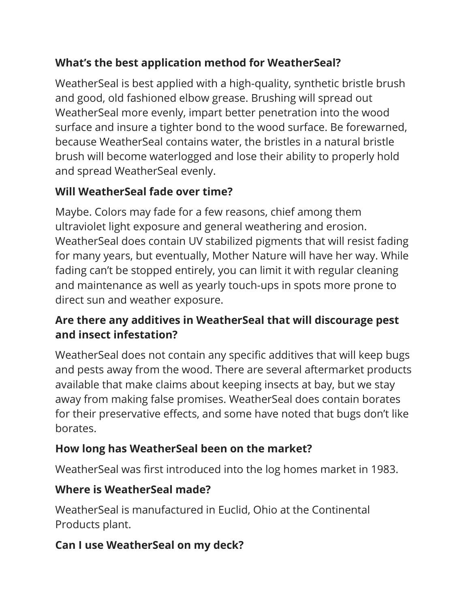## **What's the best application method for WeatherSeal?**

WeatherSeal is best applied with a high-quality, synthetic bristle brush and good, old fashioned elbow grease. Brushing will spread out WeatherSeal more evenly, impart better penetration into the wood surface and insure a tighter bond to the wood surface. Be forewarned, because WeatherSeal contains water, the bristles in a natural bristle brush will become waterlogged and lose their ability to properly hold and spread WeatherSeal evenly.

## **Will WeatherSeal fade over time?**

Maybe. Colors may fade for a few reasons, chief among them ultraviolet light exposure and general weathering and erosion. WeatherSeal does contain UV stabilized pigments that will resist fading for many years, but eventually, Mother Nature will have her way. While fading can't be stopped entirely, you can limit it with regular cleaning and maintenance as well as yearly touch-ups in spots more prone to direct sun and weather exposure.

#### **Are there any additives in WeatherSeal that will discourage pest and insect infestation?**

WeatherSeal does not contain any specific additives that will keep bugs and pests away from the wood. There are several aftermarket products available that make claims about keeping insects at bay, but we stay away from making false promises. WeatherSeal does contain borates for their preservative effects, and some have noted that bugs don't like borates.

# **How long has WeatherSeal been on the market?**

WeatherSeal was first introduced into the log homes market in 1983.

#### **Where is WeatherSeal made?**

WeatherSeal is manufactured in Euclid, Ohio at the Continental Products plant.

# **Can I use WeatherSeal on my deck?**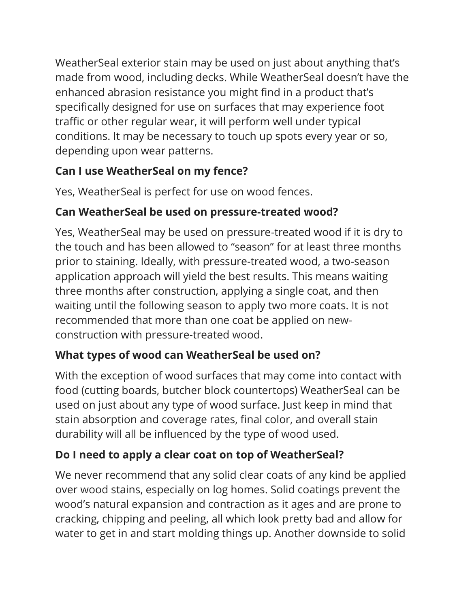WeatherSeal exterior stain may be used on just about anything that's made from wood, including decks. While WeatherSeal doesn't have the enhanced abrasion resistance you might find in a product that's specifically designed for use on surfaces that may experience foot traffic or other regular wear, it will perform well under typical conditions. It may be necessary to touch up spots every year or so, depending upon wear patterns.

#### **Can I use WeatherSeal on my fence?**

Yes, WeatherSeal is perfect for use on wood fences.

# **Can WeatherSeal be used on pressure-treated wood?**

Yes, WeatherSeal may be used on pressure-treated wood if it is dry to the touch and has been allowed to "season" for at least three months prior to staining. Ideally, with pressure-treated wood, a two-season application approach will yield the best results. This means waiting three months after construction, applying a single coat, and then waiting until the following season to apply two more coats. It is not recommended that more than one coat be applied on newconstruction with pressure-treated wood.

# **What types of wood can WeatherSeal be used on?**

With the exception of wood surfaces that may come into contact with food (cutting boards, butcher block countertops) WeatherSeal can be used on just about any type of wood surface. Just keep in mind that stain absorption and coverage rates, final color, and overall stain durability will all be influenced by the type of wood used.

# **Do I need to apply a clear coat on top of WeatherSeal?**

We never recommend that any solid clear coats of any kind be applied over wood stains, especially on log homes. Solid coatings prevent the wood's natural expansion and contraction as it ages and are prone to cracking, chipping and peeling, all which look pretty bad and allow for water to get in and start molding things up. Another downside to solid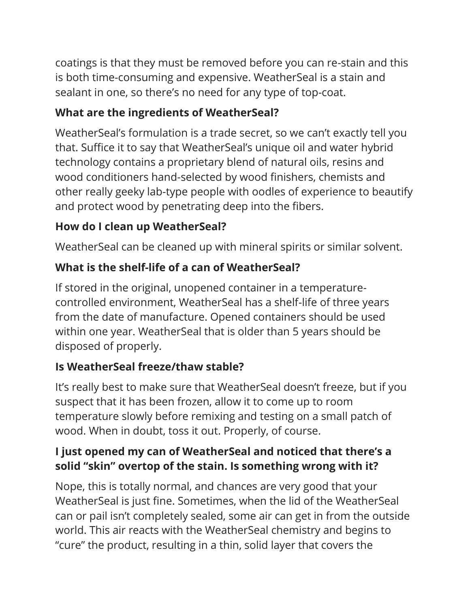coatings is that they must be removed before you can re-stain and this is both time-consuming and expensive. WeatherSeal is a stain and sealant in one, so there's no need for any type of top-coat.

## **What are the ingredients of WeatherSeal?**

WeatherSeal's formulation is a trade secret, so we can't exactly tell you that. Suffice it to say that WeatherSeal's unique oil and water hybrid technology contains a proprietary blend of natural oils, resins and wood conditioners hand-selected by wood finishers, chemists and other really geeky lab-type people with oodles of experience to beautify and protect wood by penetrating deep into the fibers.

# **How do I clean up WeatherSeal?**

WeatherSeal can be cleaned up with mineral spirits or similar solvent.

# **What is the shelf-life of a can of WeatherSeal?**

If stored in the original, unopened container in a temperaturecontrolled environment, WeatherSeal has a shelf-life of three years from the date of manufacture. Opened containers should be used within one year. WeatherSeal that is older than 5 years should be disposed of properly.

# **Is WeatherSeal freeze/thaw stable?**

It's really best to make sure that WeatherSeal doesn't freeze, but if you suspect that it has been frozen, allow it to come up to room temperature slowly before remixing and testing on a small patch of wood. When in doubt, toss it out. Properly, of course.

#### **I just opened my can of WeatherSeal and noticed that there's a solid "skin" overtop of the stain. Is something wrong with it?**

Nope, this is totally normal, and chances are very good that your WeatherSeal is just fine. Sometimes, when the lid of the WeatherSeal can or pail isn't completely sealed, some air can get in from the outside world. This air reacts with the WeatherSeal chemistry and begins to "cure" the product, resulting in a thin, solid layer that covers the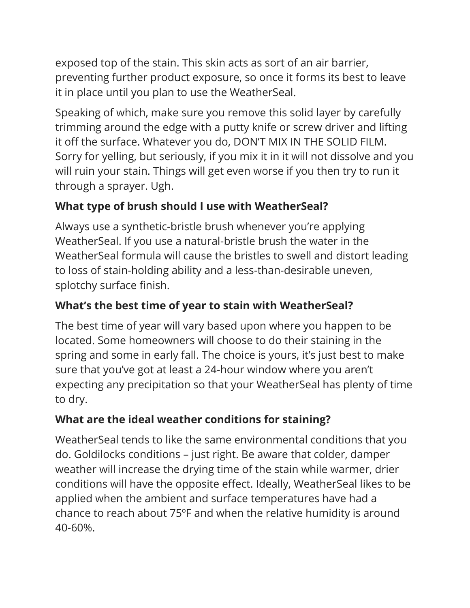exposed top of the stain. This skin acts as sort of an air barrier, preventing further product exposure, so once it forms its best to leave it in place until you plan to use the WeatherSeal.

Speaking of which, make sure you remove this solid layer by carefully trimming around the edge with a putty knife or screw driver and lifting it off the surface. Whatever you do, DON'T MIX IN THE SOLID FILM. Sorry for yelling, but seriously, if you mix it in it will not dissolve and you will ruin your stain. Things will get even worse if you then try to run it through a sprayer. Ugh.

## **What type of brush should I use with WeatherSeal?**

Always use a synthetic-bristle brush whenever you're applying WeatherSeal. If you use a natural-bristle brush the water in the WeatherSeal formula will cause the bristles to swell and distort leading to loss of stain-holding ability and a less-than-desirable uneven, splotchy surface finish.

## **What's the best time of year to stain with WeatherSeal?**

The best time of year will vary based upon where you happen to be located. Some homeowners will choose to do their staining in the spring and some in early fall. The choice is yours, it's just best to make sure that you've got at least a 24-hour window where you aren't expecting any precipitation so that your WeatherSeal has plenty of time to dry.

# **What are the ideal weather conditions for staining?**

WeatherSeal tends to like the same environmental conditions that you do. Goldilocks conditions – just right. Be aware that colder, damper weather will increase the drying time of the stain while warmer, drier conditions will have the opposite effect. Ideally, WeatherSeal likes to be applied when the ambient and surface temperatures have had a chance to reach about 75ºF and when the relative humidity is around 40-60%.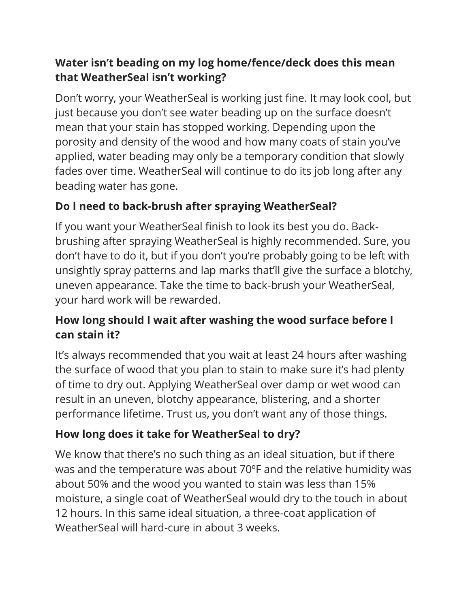#### **Water isn't beading on my log home/fence/deck does this mean that WeatherSeal isn't working?**

Don't worry, your WeatherSeal is working just fine. It may look cool, but just because you don't see water beading up on the surface doesn't mean that your stain has stopped working. Depending upon the porosity and density of the wood and how many coats of stain you've applied, water beading may only be a temporary condition that slowly fades over time. WeatherSeal will continue to do its job long after any beading water has gone.

## **Do I need to back-brush after spraying WeatherSeal?**

If you want your WeatherSeal finish to look its best you do. Backbrushing after spraying WeatherSeal is highly recommended. Sure, you don't have to do it, but if you don't you're probably going to be left with unsightly spray patterns and lap marks that'll give the surface a blotchy, uneven appearance. Take the time to back-brush your WeatherSeal, your hard work will be rewarded.

#### **How long should I wait after washing the wood surface before I can stain it?**

It's always recommended that you wait at least 24 hours after washing the surface of wood that you plan to stain to make sure it's had plenty of time to dry out. Applying WeatherSeal over damp or wet wood can result in an uneven, blotchy appearance, blistering, and a shorter performance lifetime. Trust us, you don't want any of those things.

# **How long does it take for WeatherSeal to dry?**

We know that there's no such thing as an ideal situation, but if there was and the temperature was about 70ºF and the relative humidity was about 50% and the wood you wanted to stain was less than 15% moisture, a single coat of WeatherSeal would dry to the touch in about 12 hours. In this same ideal situation, a three-coat application of WeatherSeal will hard-cure in about 3 weeks.